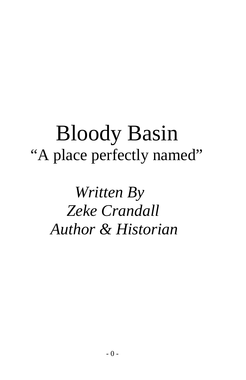## Bloody Basin "A place perfectly named"

 *Written By Zeke Crandall Author & Historian*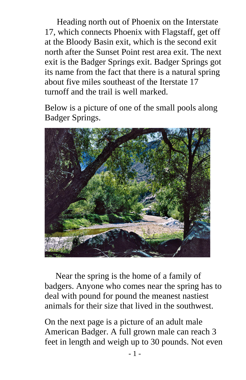Heading north out of Phoenix on the Interstate 17, which connects Phoenix with Flagstaff, get off at the Bloody Basin exit, which is the second exit north after the Sunset Point rest area exit. The next exit is the Badger Springs exit. Badger Springs got its name from the fact that there is a natural spring about five miles southeast of the Iterstate 17 turnoff and the trail is well marked.

Below is a picture of one of the small pools along Badger Springs.



 Near the spring is the home of a family of badgers. Anyone who comes near the spring has to deal with pound for pound the meanest nastiest animals for their size that lived in the southwest.

On the next page is a picture of an adult male American Badger. A full grown male can reach 3 feet in length and weigh up to 30 pounds. Not even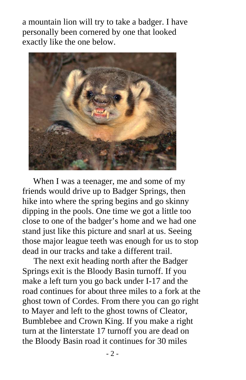a mountain lion will try to take a badger. I have personally been cornered by one that looked exactly like the one below.



 When I was a teenager, me and some of my friends would drive up to Badger Springs, then hike into where the spring begins and go skinny dipping in the pools. One time we got a little too close to one of the badger's home and we had one stand just like this picture and snarl at us. Seeing those major league teeth was enough for us to stop dead in our tracks and take a different trail.

 The next exit heading north after the Badger Springs exit is the Bloody Basin turnoff. If you make a left turn you go back under I-17 and the road continues for about three miles to a fork at the ghost town of Cordes. From there you can go right to Mayer and left to the ghost towns of Cleator, Bumblebee and Crown King. If you make a right turn at the Iinterstate 17 turnoff you are dead on the Bloody Basin road it continues for 30 miles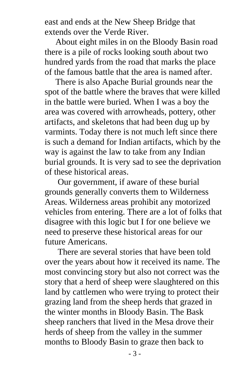east and ends at the New Sheep Bridge that extends over the Verde River.

 About eight miles in on the Bloody Basin road there is a pile of rocks looking south about two hundred yards from the road that marks the place of the famous battle that the area is named after.

 There is also Apache Burial grounds near the spot of the battle where the braves that were killed in the battle were buried. When I was a boy the area was covered with arrowheads, pottery, other artifacts, and skeletons that had been dug up by varmints. Today there is not much left since there is such a demand for Indian artifacts, which by the way is against the law to take from any Indian burial grounds. It is very sad to see the deprivation of these historical areas.

 Our government, if aware of these burial grounds generally converts them to Wilderness Areas. Wilderness areas prohibit any motorized vehicles from entering. There are a lot of folks that disagree with this logic but I for one believe we need to preserve these historical areas for our future Americans.

 There are several stories that have been told over the years about how it received its name. The most convincing story but also not correct was the story that a herd of sheep were slaughtered on this land by cattlemen who were trying to protect their grazing land from the sheep herds that grazed in the winter months in Bloody Basin. The Bask sheep ranchers that lived in the Mesa drove their herds of sheep from the valley in the summer months to Bloody Basin to graze then back to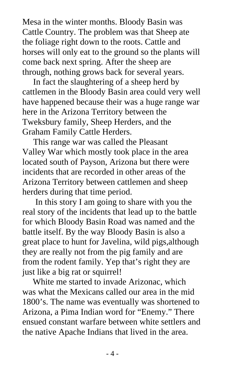Mesa in the winter months. Bloody Basin was Cattle Country. The problem was that Sheep ate the foliage right down to the roots. Cattle and horses will only eat to the ground so the plants will come back next spring. After the sheep are through, nothing grows back for several years.

 In fact the slaughtering of a sheep herd by cattlemen in the Bloody Basin area could very well have happened because their was a huge range war here in the Arizona Territory between the Tweksbury family, Sheep Herders, and the Graham Family Cattle Herders.

 This range war was called the Pleasant Valley War which mostly took place in the area located south of Payson, Arizona but there were incidents that are recorded in other areas of the Arizona Territory between cattlemen and sheep herders during that time period.

 In this story I am going to share with you the real story of the incidents that lead up to the battle for which Bloody Basin Road was named and the battle itself. By the way Bloody Basin is also a great place to hunt for Javelina, wild pigs,although they are really not from the pig family and are from the rodent family. Yep that's right they are just like a big rat or squirrel!

White me started to invade Arizonac, which was what the Mexicans called our area in the mid 1800's. The name was eventually was shortened to Arizona, a Pima Indian word for "Enemy." There ensued constant warfare between white settlers and the native Apache Indians that lived in the area.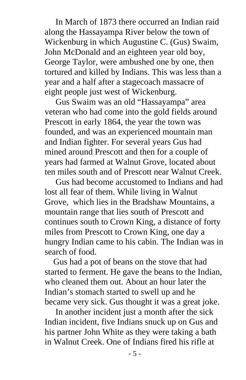In March of 1873 there occurred an Indian raid along the Hassayampa River below the town of Wickenburg in which Augustine C. (Gus) Swaim, John McDonald and an eighteen year old boy, George Taylor, were ambushed one by one, then tortured and killed by Indians. This was less than a year and a half after a stagecoach massacre of eight people just west of Wickenburg.

 Gus Swaim was an old "Hassayampa" area veteran who had come into the gold fields around Prescott in early 1864, the year the town was founded, and was an experienced mountain man and Indian fighter. For several years Gus had mined around Prescott and then for a couple of years had farmed at Walnut Grove, located about ten miles south and of Prescott near Walnut Creek.

 Gus had become accustomed to Indians and had lost all fear of them. While living in Walnut Grove, which lies in the Bradshaw Mountains, a mountain range that lies south of Prescott and continues south to Crown King, a distance of forty miles from Prescott to Crown King, one day a hungry Indian came to his cabin. The Indian was in search of food.

 Gus had a pot of beans on the stove that had started to ferment. He gave the beans to the Indian, who cleaned them out. About an hour later the Indian's stomach started to swell up and he became very sick. Gus thought it was a great joke.

 In another incident just a month after the sick Indian incident, five Indians snuck up on Gus and his partner John White as they were taking a bath in Walnut Creek. One of Indians fired his rifle at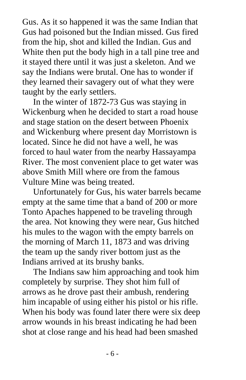Gus. As it so happened it was the same Indian that Gus had poisoned but the Indian missed. Gus fired from the hip, shot and killed the Indian. Gus and White then put the body high in a tall pine tree and it stayed there until it was just a skeleton. And we say the Indians were brutal. One has to wonder if they learned their savagery out of what they were taught by the early settlers.

 In the winter of 1872-73 Gus was staying in Wickenburg when he decided to start a road house and stage station on the desert between Phoenix and Wickenburg where present day Morristown is located. Since he did not have a well, he was forced to haul water from the nearby Hassayampa River. The most convenient place to get water was above Smith Mill where ore from the famous Vulture Mine was being treated.

 Unfortunately for Gus, his water barrels became empty at the same time that a band of 200 or more Tonto Apaches happened to be traveling through the area. Not knowing they were near, Gus hitched his mules to the wagon with the empty barrels on the morning of March 11, 1873 and was driving the team up the sandy river bottom just as the Indians arrived at its brushy banks.

 The Indians saw him approaching and took him completely by surprise. They shot him full of arrows as he drove past their ambush, rendering him incapable of using either his pistol or his rifle. When his body was found later there were six deep arrow wounds in his breast indicating he had been shot at close range and his head had been smashed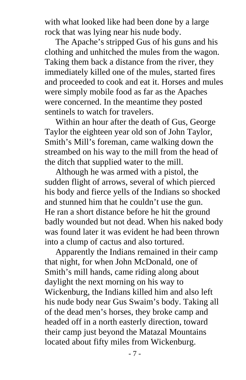with what looked like had been done by a large rock that was lying near his nude body.

 The Apache's stripped Gus of his guns and his clothing and unhitched the mules from the wagon. Taking them back a distance from the river, they immediately killed one of the mules, started fires and proceeded to cook and eat it. Horses and mules were simply mobile food as far as the Apaches were concerned. In the meantime they posted sentinels to watch for travelers.

 Within an hour after the death of Gus, George Taylor the eighteen year old son of John Taylor, Smith's Mill's foreman, came walking down the streambed on his way to the mill from the head of the ditch that supplied water to the mill.

 Although he was armed with a pistol, the sudden flight of arrows, several of which pierced his body and fierce yells of the Indians so shocked and stunned him that he couldn't use the gun. He ran a short distance before he hit the ground badly wounded but not dead. When his naked body was found later it was evident he had been thrown into a clump of cactus and also tortured.

 Apparently the Indians remained in their camp that night, for when John McDonald, one of Smith's mill hands, came riding along about daylight the next morning on his way to Wickenburg, the Indians killed him and also left his nude body near Gus Swaim's body. Taking all of the dead men's horses, they broke camp and headed off in a north easterly direction, toward their camp just beyond the Matazal Mountains located about fifty miles from Wickenburg.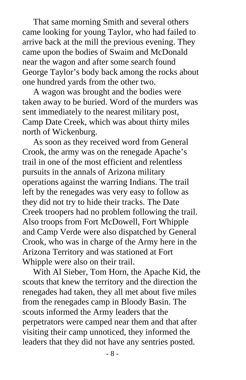That same morning Smith and several others came looking for young Taylor, who had failed to arrive back at the mill the previous evening. They came upon the bodies of Swaim and McDonald near the wagon and after some search found George Taylor's body back among the rocks about one hundred yards from the other two.

 A wagon was brought and the bodies were taken away to be buried. Word of the murders was sent immediately to the nearest military post, Camp Date Creek, which was about thirty miles north of Wickenburg.

 As soon as they received word from General Crook, the army was on the renegade Apache's trail in one of the most efficient and relentless pursuits in the annals of Arizona military operations against the warring Indians. The trail left by the renegades was very easy to follow as they did not try to hide their tracks. The Date Creek troopers had no problem following the trail. Also troops from Fort McDowell, Fort Whipple and Camp Verde were also dispatched by General Crook, who was in charge of the Army here in the Arizona Territory and was stationed at Fort Whipple were also on their trail.

 With Al Sieber, Tom Horn, the Apache Kid, the scouts that knew the territory and the direction the renegades had taken, they all met about five miles from the renegades camp in Bloody Basin. The scouts informed the Army leaders that the perpetrators were camped near them and that after visiting their camp unnoticed, they informed the leaders that they did not have any sentries posted.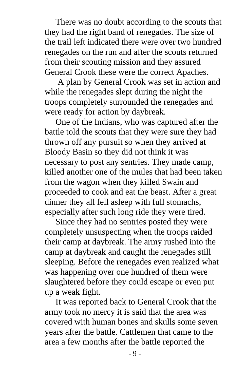There was no doubt according to the scouts that they had the right band of renegades. The size of the trail left indicated there were over two hundred renegades on the run and after the scouts returned from their scouting mission and they assured General Crook these were the correct Apaches.

 A plan by General Crook was set in action and while the renegades slept during the night the troops completely surrounded the renegades and were ready for action by daybreak.

 One of the Indians, who was captured after the battle told the scouts that they were sure they had thrown off any pursuit so when they arrived at Bloody Basin so they did not think it was necessary to post any sentries. They made camp, killed another one of the mules that had been taken from the wagon when they killed Swain and proceeded to cook and eat the beast. After a great dinner they all fell asleep with full stomachs, especially after such long ride they were tired.

 Since they had no sentries posted they were completely unsuspecting when the troops raided their camp at daybreak. The army rushed into the camp at daybreak and caught the renegades still sleeping. Before the renegades even realized what was happening over one hundred of them were slaughtered before they could escape or even put up a weak fight.

 It was reported back to General Crook that the army took no mercy it is said that the area was covered with human bones and skulls some seven years after the battle. Cattlemen that came to the area a few months after the battle reported the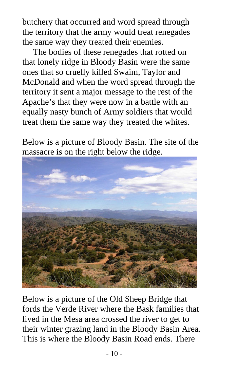butchery that occurred and word spread through the territory that the army would treat renegades the same way they treated their enemies.

 The bodies of these renegades that rotted on that lonely ridge in Bloody Basin were the same ones that so cruelly killed Swaim, Taylor and McDonald and when the word spread through the territory it sent a major message to the rest of the Apache's that they were now in a battle with an equally nasty bunch of Army soldiers that would treat them the same way they treated the whites.

Below is a picture of Bloody Basin. The site of the massacre is on the right below the ridge.



Below is a picture of the Old Sheep Bridge that fords the Verde River where the Bask families that lived in the Mesa area crossed the river to get to their winter grazing land in the Bloody Basin Area. This is where the Bloody Basin Road ends. There